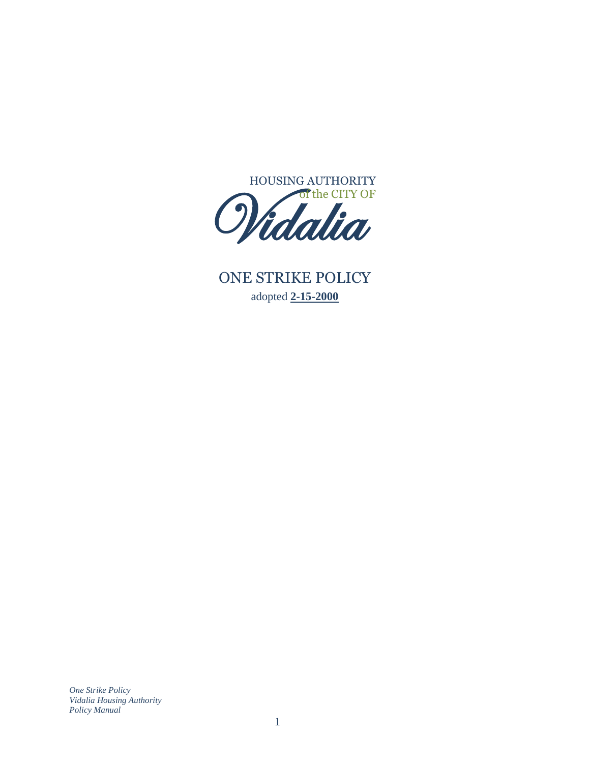

ONE STRIKE POLICY adopted **2-15-2000 IF**<br>12

*One Strike Policy Vidalia Housing Authority Policy Manual*